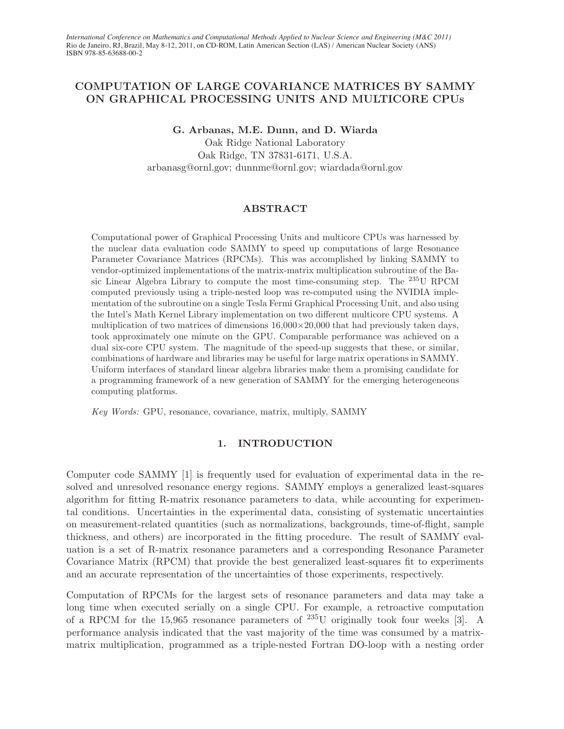# COMPUTATION OF LARGE COVARIANCE MATRICES BY SAMMY ON GRAPHICAL PROCESSING UNITS AND MULTICORE CPUs

G. Arbanas, M.E. Dunn, and D. Wiarda

Oak Ridge National Laboratory Oak Ridge, TN 37831-6171, U.S.A. arbanasg@ornl.gov; dunnme@ornl.gov; wiardada@ornl.gov

### ABSTRACT

Computational power of Graphical Processing Units and multicore CPUs was harnessed by the nuclear data evaluation code SAMMY to speed up computations of large Resonance Parameter Covariance Matrices (RPCMs). This was accomplished by linking SAMMY to vendor-optimized implementations of the matrix-matrix multiplication subroutine of the Basic Linear Algebra Library to compute the most time-consuming step. The  $^{235}$ U RPCM computed previously using a triple-nested loop was re-computed using the NVIDIA implementation of the subroutine on a single Tesla Fermi Graphical Processing Unit, and also using the Intel's Math Kernel Library implementation on two different multicore CPU systems. A multiplication of two matrices of dimensions  $16,000\times20,000$  that had previously taken days, took approximately one minute on the GPU. Comparable performance was achieved on a dual six-core CPU system. The magnitude of the speed-up suggests that these, or similar, combinations of hardware and libraries may be useful for large matrix operations in SAMMY. Uniform interfaces of standard linear algebra libraries make them a promising candidate for a programming framework of a new generation of SAMMY for the emerging heterogeneous computing platforms.

Key Words: GPU, resonance, covariance, matrix, multiply, SAMMY

# 1. INTRODUCTION

Computer code SAMMY [1] is frequently used for evaluation of experimental data in the resolved and unresolved resonance energy regions. SAMMY employs a generalized least-squares algorithm for fitting R-matrix resonance parameters to data, while accounting for experimental conditions. Uncertainties in the experimental data, consisting of systematic uncertainties on measurement-related quantities (such as normalizations, backgrounds, time-of-flight, sample thickness, and others) are incorporated in the fitting procedure. The result of SAMMY evaluation is a set of R-matrix resonance parameters and a corresponding Resonance Parameter Covariance Matrix (RPCM) that provide the best generalized least-squares fit to experiments and an accurate representation of the uncertainties of those experiments, respectively.

Computation of RPCMs for the largest sets of resonance parameters and data may take a long time when executed serially on a single CPU. For example, a retroactive computation of a RPCM for the 15,965 resonance parameters of  $^{235}$ U originally took four weeks [3]. A performance analysis indicated that the vast majority of the time was consumed by a matrixmatrix multiplication, programmed as a triple-nested Fortran DO-loop with a nesting order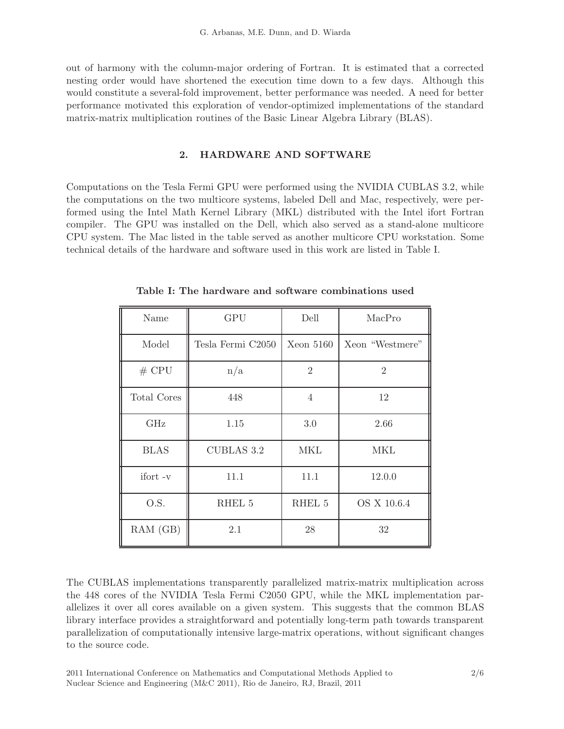out of harmony with the column-major ordering of Fortran. It is estimated that a corrected nesting order would have shortened the execution time down to a few days. Although this would constitute a several-fold improvement, better performance was needed. A need for better performance motivated this exploration of vendor-optimized implementations of the standard matrix-matrix multiplication routines of the Basic Linear Algebra Library (BLAS).

## 2. HARDWARE AND SOFTWARE

Computations on the Tesla Fermi GPU were performed using the NVIDIA CUBLAS 3.2, while the computations on the two multicore systems, labeled Dell and Mac, respectively, were performed using the Intel Math Kernel Library (MKL) distributed with the Intel ifort Fortran compiler. The GPU was installed on the Dell, which also served as a stand-alone multicore CPU system. The Mac listed in the table served as another multicore CPU workstation. Some technical details of the hardware and software used in this work are listed in Table I.

| Name        | <b>GPU</b>        | Dell           | MacPro          |
|-------------|-------------------|----------------|-----------------|
| Model       | Tesla Fermi C2050 | Xeon $5160$    | Xeon "Westmere" |
| $#$ CPU     | n/a               | $\overline{2}$ | $\overline{2}$  |
| Total Cores | 448               | $\overline{4}$ | 12              |
| GHz         | 1.15              | 3.0            | 2.66            |
| <b>BLAS</b> | <b>CUBLAS 3.2</b> | MKL            | MKL             |
| ifort-v     | 11.1              | 11.1           | 12.0.0          |
| O.S.        | RHEL 5            | RHEL 5         | OS X 10.6.4     |
| RAM (GB)    | 2.1               | 28             | 32              |

Table I: The hardware and software combinations used

The CUBLAS implementations transparently parallelized matrix-matrix multiplication across the 448 cores of the NVIDIA Tesla Fermi C2050 GPU, while the MKL implementation parallelizes it over all cores available on a given system. This suggests that the common BLAS library interface provides a straightforward and potentially long-term path towards transparent parallelization of computationally intensive large-matrix operations, without significant changes to the source code.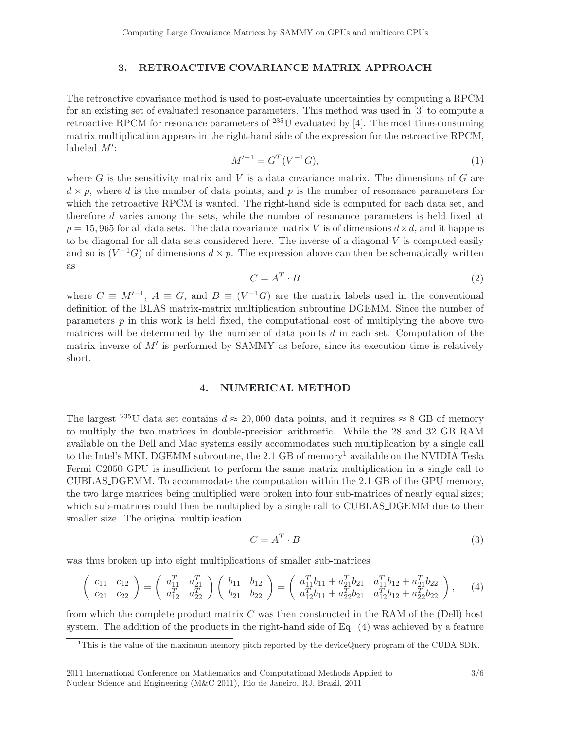### 3. RETROACTIVE COVARIANCE MATRIX APPROACH

The retroactive covariance method is used to post-evaluate uncertainties by computing a RPCM for an existing set of evaluated resonance parameters. This method was used in [3] to compute a retroactive RPCM for resonance parameters of  $^{235}$ U evaluated by [4]. The most time-consuming matrix multiplication appears in the right-hand side of the expression for the retroactive RPCM, labeled  $M'$ :

$$
M'^{-1} = G^T(V^{-1}G),\tag{1}
$$

where G is the sensitivity matrix and V is a data covariance matrix. The dimensions of G are  $d \times p$ , where d is the number of data points, and p is the number of resonance parameters for which the retroactive RPCM is wanted. The right-hand side is computed for each data set, and therefore d varies among the sets, while the number of resonance parameters is held fixed at  $p = 15,965$  for all data sets. The data covariance matrix V is of dimensions  $d \times d$ , and it happens to be diagonal for all data sets considered here. The inverse of a diagonal  $V$  is computed easily and so is  $(V^{-1}G)$  of dimensions  $d \times p$ . The expression above can then be schematically written as

$$
C = A^T \cdot B \tag{2}
$$

where  $C \equiv M^{-1}$ ,  $A \equiv G$ , and  $B \equiv (V^{-1}G)$  are the matrix labels used in the conventional definition of the BLAS matrix-matrix multiplication subroutine DGEMM. Since the number of parameters  $p$  in this work is held fixed, the computational cost of multiplying the above two matrices will be determined by the number of data points  $d$  in each set. Computation of the matrix inverse of  $M'$  is performed by SAMMY as before, since its execution time is relatively short.

#### 4. NUMERICAL METHOD

The largest <sup>235</sup>U data set contains  $d \approx 20,000$  data points, and it requires  $\approx 8$  GB of memory to multiply the two matrices in double-precision arithmetic. While the 28 and 32 GB RAM available on the Dell and Mac systems easily accommodates such multiplication by a single call to the Intel's MKL DGEMM subroutine, the 2.1 GB of memory<sup>1</sup> available on the NVIDIA Tesla Fermi C2050 GPU is insufficient to perform the same matrix multiplication in a single call to CUBLAS DGEMM. To accommodate the computation within the 2.1 GB of the GPU memory, the two large matrices being multiplied were broken into four sub-matrices of nearly equal sizes; which sub-matrices could then be multiplied by a single call to CUBLAS DGEMM due to their smaller size. The original multiplication

$$
C = A^T \cdot B \tag{3}
$$

was thus broken up into eight multiplications of smaller sub-matrices

$$
\begin{pmatrix} c_{11} & c_{12} \\ c_{21} & c_{22} \end{pmatrix} = \begin{pmatrix} a_{11}^T & a_{21}^T \\ a_{12}^T & a_{22}^T \end{pmatrix} \begin{pmatrix} b_{11} & b_{12} \\ b_{21} & b_{22} \end{pmatrix} = \begin{pmatrix} a_{11}^T b_{11} + a_{21}^T b_{21} & a_{11}^T b_{12} + a_{21}^T b_{22} \\ a_{12}^T b_{11} + a_{22}^T b_{21} & a_{12}^T b_{12} + a_{22}^T b_{22} \end{pmatrix}, \quad (4)
$$

from which the complete product matrix  $C$  was then constructed in the RAM of the (Dell) host system. The addition of the products in the right-hand side of Eq. (4) was achieved by a feature

<sup>&</sup>lt;sup>1</sup>This is the value of the maximum memory pitch reported by the deviceQuery program of the CUDA SDK.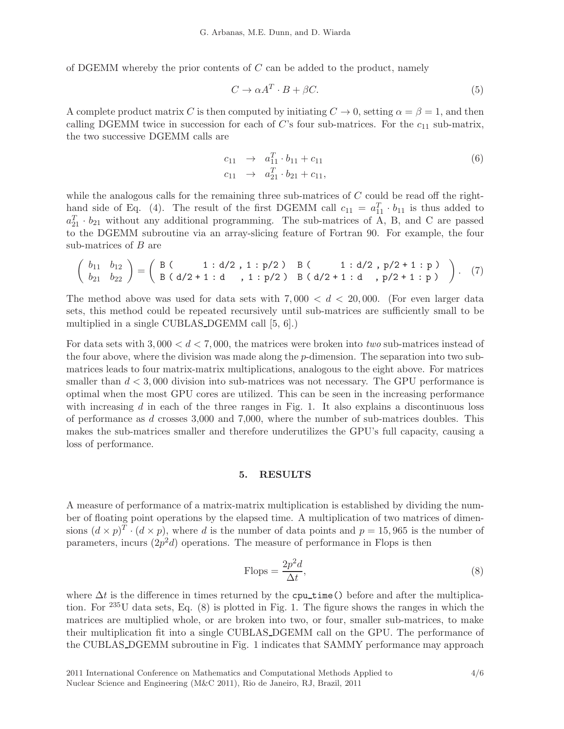of DGEMM whereby the prior contents of  $C$  can be added to the product, namely

$$
C \to \alpha A^T \cdot B + \beta C. \tag{5}
$$

A complete product matrix C is then computed by initiating  $C \to 0$ , setting  $\alpha = \beta = 1$ , and then calling DGEMM twice in succession for each of  $C$ 's four sub-matrices. For the  $c_{11}$  sub-matrix, the two successive DGEMM calls are

$$
c_{11} \rightarrow a_{11}^T \cdot b_{11} + c_{11}
$$
  
\n
$$
c_{11} \rightarrow a_{21}^T \cdot b_{21} + c_{11},
$$
\n(6)

while the analogous calls for the remaining three sub-matrices of  $C$  could be read off the righthand side of Eq. (4). The result of the first DGEMM call  $c_{11} = a_{11}^T \cdot b_{11}$  is thus added to  $a_{21}^T \cdot b_{21}$  without any additional programming. The sub-matrices of A, B, and C are passed to the DGEMM subroutine via an array-slicing feature of Fortran 90. For example, the four sub-matrices of B are

$$
\left(\begin{array}{cc} b_{11} & b_{12} \\ b_{21} & b_{22} \end{array}\right) = \left(\begin{array}{ccc} B & (1 \div d/2, 1 \div p/2) & B & (1 \div d/2, p/2 + 1 \div p) \\ B & (d/2 + 1 \div d, 1 \div p/2) & B & (d/2 + 1 \div d, p/2 + 1 \div p) \end{array}\right). \tag{7}
$$

The method above was used for data sets with  $7,000 < d < 20,000$ . (For even larger data sets, this method could be repeated recursively until sub-matrices are sufficiently small to be multiplied in a single CUBLAS DGEMM call [5, 6].)

For data sets with  $3,000 < d < 7,000$ , the matrices were broken into two sub-matrices instead of the four above, where the division was made along the p-dimension. The separation into two submatrices leads to four matrix-matrix multiplications, analogous to the eight above. For matrices smaller than  $d < 3,000$  division into sub-matrices was not necessary. The GPU performance is optimal when the most GPU cores are utilized. This can be seen in the increasing performance with increasing  $d$  in each of the three ranges in Fig. 1. It also explains a discontinuous loss of performance as d crosses 3,000 and 7,000, where the number of sub-matrices doubles. This makes the sub-matrices smaller and therefore underutilizes the GPU's full capacity, causing a loss of performance.

#### 5. RESULTS

A measure of performance of a matrix-matrix multiplication is established by dividing the number of floating point operations by the elapsed time. A multiplication of two matrices of dimensions  $(d \times p)^T \cdot (d \times p)$ , where d is the number of data points and  $p = 15,965$  is the number of parameters, incurs  $(2p^2d)$  operations. The measure of performance in Flops is then

Flops = 
$$
\frac{2p^2d}{\Delta t}
$$
, (8)

where  $\Delta t$  is the difference in times returned by the cpu\_time() before and after the multiplication. For <sup>235</sup>U data sets, Eq. (8) is plotted in Fig. 1. The figure shows the ranges in which the matrices are multiplied whole, or are broken into two, or four, smaller sub-matrices, to make their multiplication fit into a single CUBLAS DGEMM call on the GPU. The performance of the CUBLAS DGEMM subroutine in Fig. 1 indicates that SAMMY performance may approach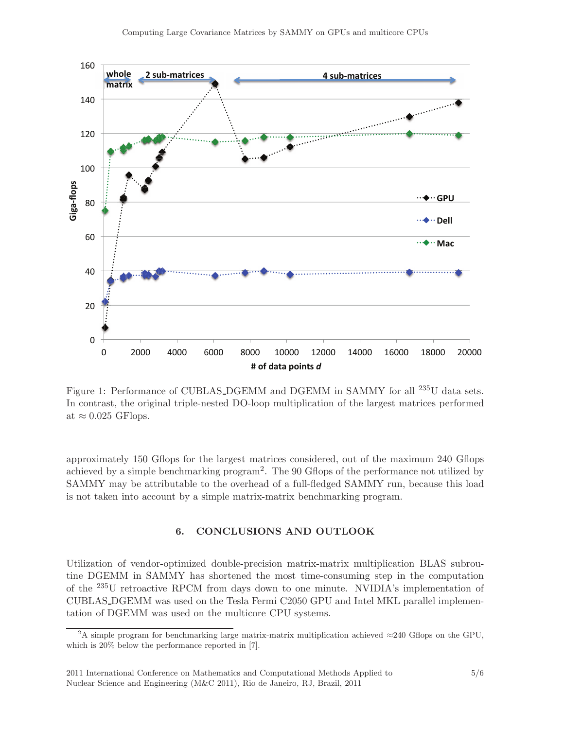

Figure 1: Performance of CUBLAS\_DGEMM and DGEMM in SAMMY for all <sup>235</sup>U data sets. In contrast, the original triple-nested DO-loop multiplication of the largest matrices performed at  $\approx 0.025$  GFlops.

approximately 150 Gflops for the largest matrices considered, out of the maximum 240 Gflops achieved by a simple benchmarking program2. The 90 Gflops of the performance not utilized by SAMMY may be attributable to the overhead of a full-fledged SAMMY run, because this load is not taken into account by a simple matrix-matrix benchmarking program.

## 6. CONCLUSIONS AND OUTLOOK

Utilization of vendor-optimized double-precision matrix-matrix multiplication BLAS subroutine DGEMM in SAMMY has shortened the most time-consuming step in the computation of the <sup>235</sup>U retroactive RPCM from days down to one minute. NVIDIA's implementation of CUBLAS DGEMM was used on the Tesla Fermi C2050 GPU and Intel MKL parallel implementation of DGEMM was used on the multicore CPU systems.

<sup>&</sup>lt;sup>2</sup>A simple program for benchmarking large matrix-matrix multiplication achieved  $\approx$ 240 Gflops on the GPU, which is 20% below the performance reported in [7].